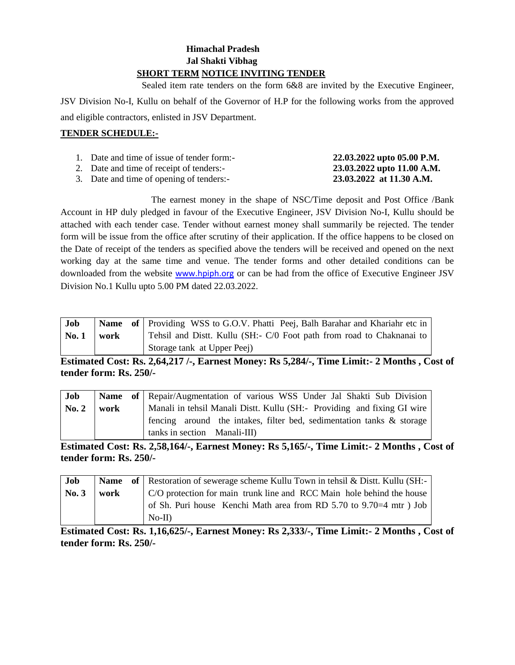# **Himachal Pradesh Jal Shakti Vibhag SHORT TERM NOTICE INVITING TENDER**

 Sealed item rate tenders on the form 6&8 are invited by the Executive Engineer, JSV Division No-I, Kullu on behalf of the Governor of H.P for the following works from the approved and eligible contractors, enlisted in JSV Department.

# **TENDER SCHEDULE:-**

| 1. Date and time of issue of tender form:-            | 22.03.2022 upto 05.00 P.M.                                                                                                                                                                                                                                                                                                                                                           |
|-------------------------------------------------------|--------------------------------------------------------------------------------------------------------------------------------------------------------------------------------------------------------------------------------------------------------------------------------------------------------------------------------------------------------------------------------------|
| 2. Date and time of receipt of tenders:-              | 23.03.2022 upto 11.00 A.M.                                                                                                                                                                                                                                                                                                                                                           |
| $\alpha$ $\alpha$ $\alpha$ $\alpha$ $\alpha$ $\alpha$ | $\overline{a}$ $\overline{a}$ $\overline{a}$ $\overline{a}$ $\overline{a}$ $\overline{a}$ $\overline{a}$ $\overline{a}$ $\overline{a}$ $\overline{a}$ $\overline{a}$ $\overline{a}$ $\overline{a}$ $\overline{a}$ $\overline{a}$ $\overline{a}$ $\overline{a}$ $\overline{a}$ $\overline{a}$ $\overline{a}$ $\overline{a}$ $\overline{a}$ $\overline{a}$ $\overline{a}$ $\overline{$ |

3. Date and time of opening of tenders:- **23.03.2022 at 11.30 A.M.**

The earnest money in the shape of NSC/Time deposit and Post Office /Bank Account in HP duly pledged in favour of the Executive Engineer, JSV Division No-I, Kullu should be attached with each tender case. Tender without earnest money shall summarily be rejected. The tender form will be issue from the office after scrutiny of their application. If the office happens to be closed on the Date of receipt of the tenders as specified above the tenders will be received and opened on the next working day at the same time and venue. The tender forms and other detailed conditions can be downloaded from the website [www.hpiph.org](http://www.hpiph.org/) or can be had from the office of Executive Engineer JSV Division No.1 Kullu upto 5.00 PM dated 22.03.2022.

| Job          |      | Name of Providing WSS to G.O.V. Phatti Peej, Balh Barahar and Khariahr etc in |
|--------------|------|-------------------------------------------------------------------------------|
| <b>No. 1</b> | work | Tehsil and Distt. Kullu (SH:- C/0 Foot path from road to Chaknanai to         |
|              |      | Storage tank at Upper Peej)                                                   |

**Estimated Cost: Rs. 2,64,217 /-, Earnest Money: Rs 5,284/-, Time Limit:- 2 Months , Cost of tender form: Rs. 250/-**

| Job                |      | <b>Name of</b> Repair/Augmentation of various WSS Under Jal Shakti Sub Division |
|--------------------|------|---------------------------------------------------------------------------------|
| $\mathbf{N_0}$ , 2 | work | Manali in tehsil Manali Distt. Kullu (SH:- Providing and fixing GI wire         |
|                    |      | fencing around the intakes, filter bed, sedimentation tanks & storage           |
|                    |      | tanks in section Manali-III)                                                    |

**Estimated Cost: Rs. 2,58,164/-, Earnest Money: Rs 5,165/-, Time Limit:- 2 Months , Cost of tender form: Rs. 250/-**

| Job   |      | <b>Name</b> of Restoration of sewerage scheme Kullu Town in tehsil & Dist. Kullu (SH:- |
|-------|------|----------------------------------------------------------------------------------------|
| No. 3 | work | C/O protection for main trunk line and RCC Main hole behind the house                  |
|       |      | of Sh. Puri house Kenchi Math area from RD 5.70 to 9.70=4 mtr) Job                     |
|       |      | $No-II)$                                                                               |

**Estimated Cost: Rs. 1,16,625/-, Earnest Money: Rs 2,333/-, Time Limit:- 2 Months , Cost of tender form: Rs. 250/-**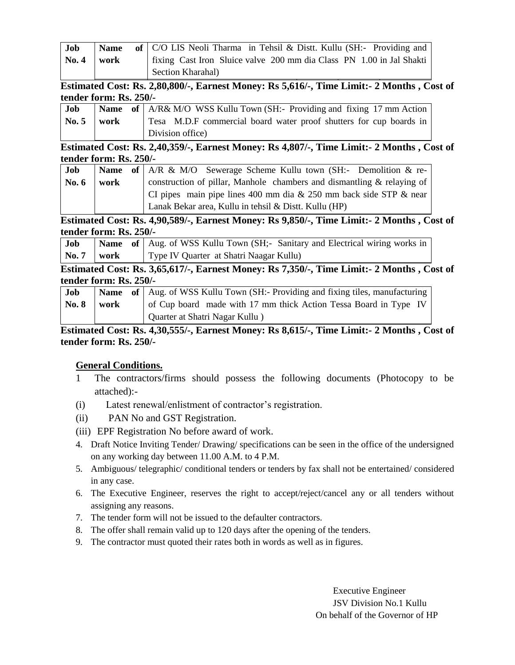| Job          | <b>Name</b> | of $\mathcal{C}/O$ LIS Neoli Tharma in Tehsil & Distt. Kullu (SH:- Providing and |
|--------------|-------------|----------------------------------------------------------------------------------|
| $\bf{No. 4}$ | work        | fixing Cast Iron Sluice valve 200 mm dia Class PN 1.00 in Jal Shakti             |
|              |             | Section Kharahal)                                                                |

**Estimated Cost: Rs. 2,80,800/-, Earnest Money: Rs 5,616/-, Time Limit:- 2 Months , Cost of tender form: Rs. 250/-**

| Job                   |  | <b>Name</b> of $A/R\& M/O$ WSS Kullu Town (SH:- Providing and fixing 17 mm Action |
|-----------------------|--|-----------------------------------------------------------------------------------|
| $\mathbf{No. 5}$ work |  | Tesa M.D.F commercial board water proof shutters for cup boards in                |
|                       |  | Division office)                                                                  |

**Estimated Cost: Rs. 2,40,359/-, Earnest Money: Rs 4,807/-, Time Limit:- 2 Months , Cost of tender form: Rs. 250/-**

| <b>Job</b> |      | <b>Name</b> of $AR \& M/O$ Sewerage Scheme Kullu town (SH:- Demolition $\&$ re- |
|------------|------|---------------------------------------------------------------------------------|
| No. 6      | work | construction of pillar, Manhole chambers and dismantling $\&$ relaying of       |
|            |      | CI pipes main pipe lines 400 mm dia & 250 mm back side STP & near               |
|            |      | Lanak Bekar area, Kullu in tehsil & Distt. Kullu (HP)                           |

**Estimated Cost: Rs. 4,90,589/-, Earnest Money: Rs 9,850/-, Time Limit:- 2 Months , Cost of tender form: Rs. 250/-**

| <b>Job</b>          |  | <b>Name</b> of Aug. of WSS Kullu Town (SH;- Sanitary and Electrical wiring works in |
|---------------------|--|-------------------------------------------------------------------------------------|
| $\sqrt{N_0.7}$ work |  | Type IV Quarter at Shatri Naagar Kullu)                                             |

**Estimated Cost: Rs. 3,65,617/-, Earnest Money: Rs 7,350/-, Time Limit:- 2 Months , Cost of tender form: Rs. 250/-**

| Job         |      | <b>Name</b> of Aug. of WSS Kullu Town (SH:- Providing and fixing tiles, manufacturing |  |
|-------------|------|---------------------------------------------------------------------------------------|--|
| $\bf No. 8$ | work | of Cup board made with 17 mm thick Action Tessa Board in Type IV                      |  |
|             |      | Quarter at Shatri Nagar Kullu)                                                        |  |

**Estimated Cost: Rs. 4,30,555/-, Earnest Money: Rs 8,615/-, Time Limit:- 2 Months , Cost of tender form: Rs. 250/-**

# **General Conditions.**

- 1 The contractors/firms should possess the following documents (Photocopy to be attached):-
- (i) Latest renewal/enlistment of contractor's registration.
- (ii) PAN No and GST Registration.
- (iii) EPF Registration No before award of work.
- 4. Draft Notice Inviting Tender/ Drawing/ specifications can be seen in the office of the undersigned on any working day between 11.00 A.M. to 4 P.M.
- 5. Ambiguous/ telegraphic/ conditional tenders or tenders by fax shall not be entertained/ considered in any case.
- 6. The Executive Engineer, reserves the right to accept/reject/cancel any or all tenders without assigning any reasons.
- 7. The tender form will not be issued to the defaulter contractors.
- 8. The offer shall remain valid up to 120 days after the opening of the tenders.
- 9. The contractor must quoted their rates both in words as well as in figures.

Executive Engineer JSV Division No.1 Kullu On behalf of the Governor of HP